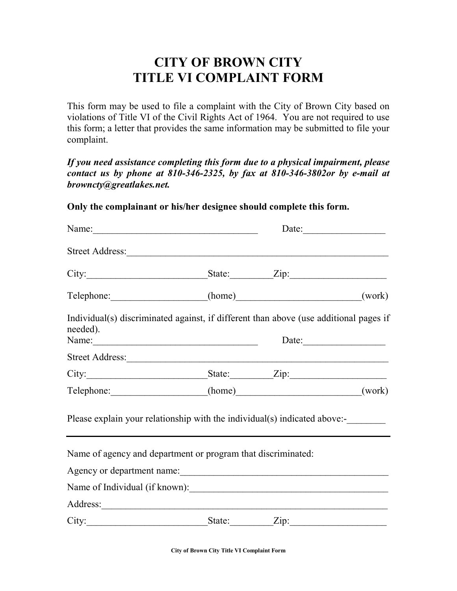## **CITY OF BROWN CITY TITLE VI COMPLAIT FORM**

This form may be used to file a complaint with the City of Brown City based on violations of Title VI of the Civil Rights Act of 1964. You are not required to use this form; a letter that provides the same information may be submitted to file your complaint.

*If you need assistance completing this form due to a physical impairment, please contact us by phone at 810-346-2325, by fax at 810-346-3802or by e-mail at browncty@greatlakes.net.* 

**Only the complainant or his/her designee should complete this form.** 

| Name:                                                                                             |  | Date:               |
|---------------------------------------------------------------------------------------------------|--|---------------------|
| Street Address:                                                                                   |  |                     |
| City: State: Zip:                                                                                 |  |                     |
| Telephone: (home) (home)                                                                          |  | (work)              |
| Individual(s) discriminated against, if different than above (use additional pages if<br>needed). |  |                     |
|                                                                                                   |  | Date: $\frac{1}{2}$ |
| Street Address: 2008. The Street Address:                                                         |  |                     |
| City: $\qquad \qquad$ State: $\qquad \qquad$ Zip:                                                 |  |                     |
| Telephone: (home) (work)                                                                          |  |                     |
| Please explain your relationship with the individual(s) indicated above:-                         |  |                     |
| Name of agency and department or program that discriminated:                                      |  |                     |
|                                                                                                   |  |                     |
| Name of Individual (if known):                                                                    |  |                     |
|                                                                                                   |  |                     |
| City: State: Zip: Zip:                                                                            |  |                     |

**City of Brown City Title VI Complaint Form**